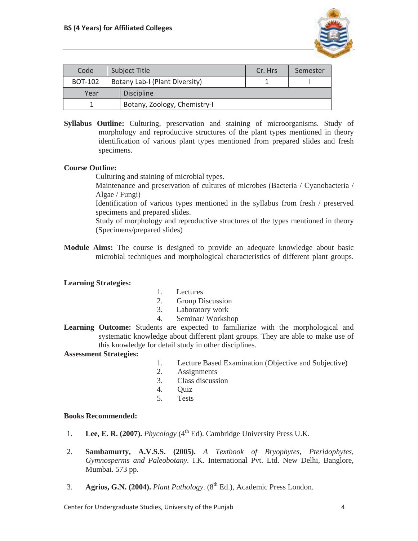

| Code           | <b>Subject Title</b> |                                | Cr. Hrs | Semester |
|----------------|----------------------|--------------------------------|---------|----------|
| <b>BOT-102</b> |                      | Botany Lab-I (Plant Diversity) |         |          |
| Year           |                      | <b>Discipline</b>              |         |          |
|                |                      | Botany, Zoology, Chemistry-I   |         |          |

**Syllabus Outline:** Culturing, preservation and staining of microorganisms. Study of morphology and reproductive structures of the plant types mentioned in theory identification of various plant types mentioned from prepared slides and fresh specimens.

## **Course Outline:**

Culturing and staining of microbial types.

 Maintenance and preservation of cultures of microbes (Bacteria / Cyanobacteria / Algae / Fungi)

 Identification of various types mentioned in the syllabus from fresh / preserved specimens and prepared slides.

 Study of morphology and reproductive structures of the types mentioned in theory (Specimens/prepared slides)

**Module Aims:** The course is designed to provide an adequate knowledge about basic microbial techniques and morphological characteristics of different plant groups.

## **Learning Strategies:**

- 1. Lectures
- 2. Group Discussion
- 3. Laboratory work
- 4. Seminar/ Workshop
- **Learning Outcome:** Students are expected to familiarize with the morphological and systematic knowledge about different plant groups. They are able to make use of this knowledge for detail study in other disciplines.

## **Assessment Strategies:**

- 1. Lecture Based Examination (Objective and Subjective)
- 2. Assignments
- 3. Class discussion
- 4. Quiz
- 5. Tests

## **Books Recommended:**

- 1. **Lee, E. R. (2007).** *Phycology* (4<sup>th</sup> Ed). Cambridge University Press U.K.
- 2. **Sambamurty, A.V.S.S. (2005).** *A Textbook of Bryophytes, Pteridophytes, Gymnosperms and Paleobotany.* I.K. International Pvt. Ltd. New Delhi, Banglore, Mumbai. 573 pp.
- 3. **Agrios, G.N. (2004).** *Plant Pathology.* (8<sup>th</sup> Ed.), Academic Press London.